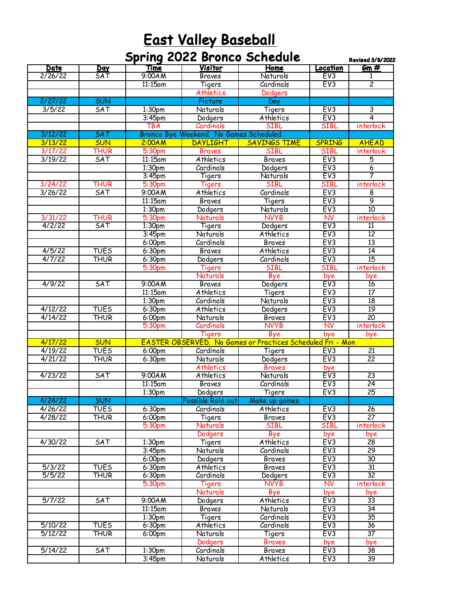## **East Valley Baseball** Reserves and the Base of the Base of the Base of the Base of the Base of the Base of the Base of the Base of the Base of the Base of the Base of the Base of the Base of the Base of the Base of the Ba

|         |             |                    | <b>Spring 2022 Bronco Schedule</b>     |                                                            |                         | <b>Revised 3/8/2022</b> |
|---------|-------------|--------------------|----------------------------------------|------------------------------------------------------------|-------------------------|-------------------------|
| Date    | <u>Day</u>  | Time               | Visitor                                | Home                                                       | Location                | $\mathbf{Gm}$ #         |
| 2/26/22 | SAT         | 9:00AM             | <b>Braves</b>                          | Naturals                                                   | EV3                     | 1                       |
|         |             | 11:15am            | Tigers                                 | Cardinals                                                  | EV3                     | $\overline{2}$          |
|         |             |                    | Athletics                              | Dodgers                                                    |                         |                         |
| 2/27/22 | <b>SUN</b>  |                    | Picture                                | Day                                                        |                         |                         |
| 3/5/22  | <b>SAT</b>  | 1:30pm             | Naturals                               | Tigers                                                     | EV3                     | $\overline{3}$          |
|         |             | 3:45 <sub>pm</sub> | Dodgers                                | Athletics                                                  | EV3                     | 4                       |
|         |             | <b>TBA</b>         | Cardinals                              | <b>SIBL</b>                                                | <b>SIBL</b>             | interlock               |
| 3/12/22 | SAT         |                    | Bronco Bye Weekend. No Games Scheduled |                                                            |                         |                         |
| 3/13/22 | <b>SUN</b>  | 2:00AM             | <b>DAYLIGHT</b>                        | <b>SAVINGS TIME</b>                                        | <b>SPRING</b>           | <b>AHEAD</b>            |
| 3/17/22 | THUR        | 5:30 <sub>pm</sub> | <b>Braves</b>                          | <b>SIBL</b>                                                | <b>SIBL</b>             | interlock               |
| 3/19/22 | SAT         | 11:15am            | Athletics                              | <b>Braves</b>                                              | EV3                     | 5                       |
|         |             | 1:30 <sub>pm</sub> | Cardinals                              | Dodgers                                                    | EV3                     | $\overline{6}$          |
|         |             | 3:45 <sub>pm</sub> | Tigers                                 | Naturals                                                   | EV3                     | 7                       |
| 3/24/22 | <b>THUR</b> | 5:30pm             | <b>Tigers</b>                          | <b>SIBL</b>                                                | <b>SIBL</b>             | interlock               |
| 3/26/22 | SAT         | 9:00AM             | Athletics                              | Cardinals                                                  | EV3                     | 8                       |
|         |             | $11:15$ am         | <b>Braves</b>                          | Tigers                                                     | EV3                     | 9                       |
|         |             | 1:30 <sub>pm</sub> | Dodgers                                | Naturals                                                   | EV3                     | 10                      |
| 3/31/22 | THUR        | 5:30pm             | <b>Naturals</b>                        | <b>NVYB</b>                                                | <b>NV</b>               | interlock               |
| 4/2/22  | <b>SAT</b>  | 1:30 <sub>pm</sub> | Tigers                                 | Dodgers                                                    | EV3                     | 11                      |
|         |             | 3:45 <sub>pm</sub> | Naturals                               | Athletics                                                  | EV3                     | $\overline{12}$         |
|         |             | 6:00pm             | Cardinals                              | <b>Braves</b>                                              | EV3                     | $\overline{13}$         |
| 4/5/22  | <b>TUES</b> | 6:30pm             | <b>Braves</b>                          | Athletics                                                  | EV3                     | 14                      |
| 4/7/22  | <b>THUR</b> | 6:30pm             | Dodgers                                | Cardinals                                                  | EV3                     | 15                      |
|         |             | 5:30pm             | <b>Tigers</b>                          | <b>SIBL</b>                                                | <b>SIBL</b>             | interlock               |
|         |             |                    | <b>Naturals</b>                        | Bye                                                        | bye                     | bye                     |
| 4/9/22  | SAT         | 9:00AM             | <b>Braves</b>                          | Dodgers                                                    | EV3                     | 16                      |
|         |             | $11:15$ am         | Athletics                              | Tigers                                                     | EV <sub>3</sub>         | $\overline{17}$         |
|         |             | 1:30 <sub>pm</sub> | Cardinals                              | Naturals                                                   | EV3                     | $\overline{18}$         |
| 4/12/22 | <b>TUES</b> | 6:30 <sub>pm</sub> | Athletics                              | Dodgers                                                    | EV3                     | 19                      |
| 4/14/22 | THUR        | 6:00pm             | Naturals                               | <b>Braves</b>                                              | EV3                     | $\overline{20}$         |
|         |             | 5:30pm             | Cardinals                              | <b>NVYB</b>                                                | <b>NV</b>               | interlock               |
|         |             |                    | <b>Tigers</b>                          | Bye                                                        | bye                     | bye                     |
| 4/17/22 | <b>SUN</b>  |                    |                                        | EASTER OBSERVED. No Games or Practices Scheduled Fri - Mon |                         |                         |
| 4/19/22 | <b>TUES</b> | 6:00pm             | Cardinals                              | Tigers                                                     | EV3                     | $\overline{21}$         |
| 4/21/22 | <b>THUR</b> | 6:30pm             | Naturals                               | Dodgers                                                    | EV3                     | $\overline{22}$         |
|         |             |                    | <b>Athletics</b>                       | <b>Braves</b>                                              | bye                     |                         |
| 4/23/22 | <b>SAT</b>  | 9:00AM             | Athletics                              | Naturals                                                   | EV3                     | $\overline{23}$         |
|         |             | 11:15am            | <b>Braves</b>                          | Cardinals                                                  | EV3                     | $\overline{24}$         |
|         |             | 1:30 <sub>pm</sub> | Dodgers                                | Tigers                                                     | EV <sub>3</sub>         | 25                      |
| 4/24/22 | <b>SUN</b>  |                    | Possible Rain out                      | Make up games                                              |                         |                         |
| 4/26/22 | <b>TUES</b> | 6:30pm             | Cardinals                              | <b>Athletics</b>                                           | EV3                     | 26                      |
| 4/28/22 | THUR        | 6:00pm             | Tigers                                 | <b>Braves</b>                                              | EV3                     | $\overline{27}$         |
|         |             | 5:30pm             | <b>Naturals</b>                        | SIBL                                                       | <b>SIBL</b>             | interlock               |
|         |             |                    | Dodgers                                | Bye                                                        | bye                     | bye                     |
| 4/30/22 | <b>SAT</b>  | 1:30pm             | Tigers                                 | Athletics                                                  | EV3<br>EV3              | 28                      |
|         |             | 3:45 <sub>pm</sub> | Naturals                               | Cardinals                                                  | EV3                     | 29<br>$\overline{30}$   |
| 5/3/22  | <b>TUES</b> | 6:00 <sub>pm</sub> | Dodgers<br>Athletics                   | <b>Braves</b><br><b>Braves</b>                             | EV3                     | $\overline{31}$         |
| 5/5/22  | THUR        | 6:30pm<br>6:30pm   | Cardinals                              | Dodgers                                                    | EV3                     | $\overline{32}$         |
|         |             |                    |                                        | <b>NVYB</b>                                                | $\overline{\mathsf{N}}$ |                         |
|         |             | 5:30pm             | Tigers<br>Naturals                     | Bye                                                        |                         | interlock               |
| 5/7/22  | <b>SAT</b>  | 9:00AM             | Dodgers                                | Athletics                                                  | bye<br>EV3              | bye<br>$\overline{33}$  |
|         |             | $11:15$ am         | Braves                                 | Naturals                                                   | EV3                     | $\overline{34}$         |
|         |             | 1:30 <sub>pm</sub> | Tigers                                 | Cardinals                                                  | EV3                     | 35                      |
| 5/10/22 | <b>TUES</b> | 6:30 <sub>pm</sub> | Athletics                              | Cardinals                                                  | EV3                     | 36                      |
| 5/12/22 | <b>THUR</b> | 6:00 <sub>pm</sub> | Naturals                               | Tigers                                                     | EV3                     | $\overline{37}$         |
|         |             |                    | Dodgers                                | <b>Braves</b>                                              | bye                     | bye                     |
| 5/14/22 | <b>SAT</b>  | 1:30 <sub>pm</sub> | Cardinals                              | <b>Braves</b>                                              | EV3                     | $\overline{38}$         |
|         |             | $3:45$ pm          | Naturals                               | Athletics                                                  | EV <sub>3</sub>         | 39                      |
|         |             |                    |                                        |                                                            |                         |                         |